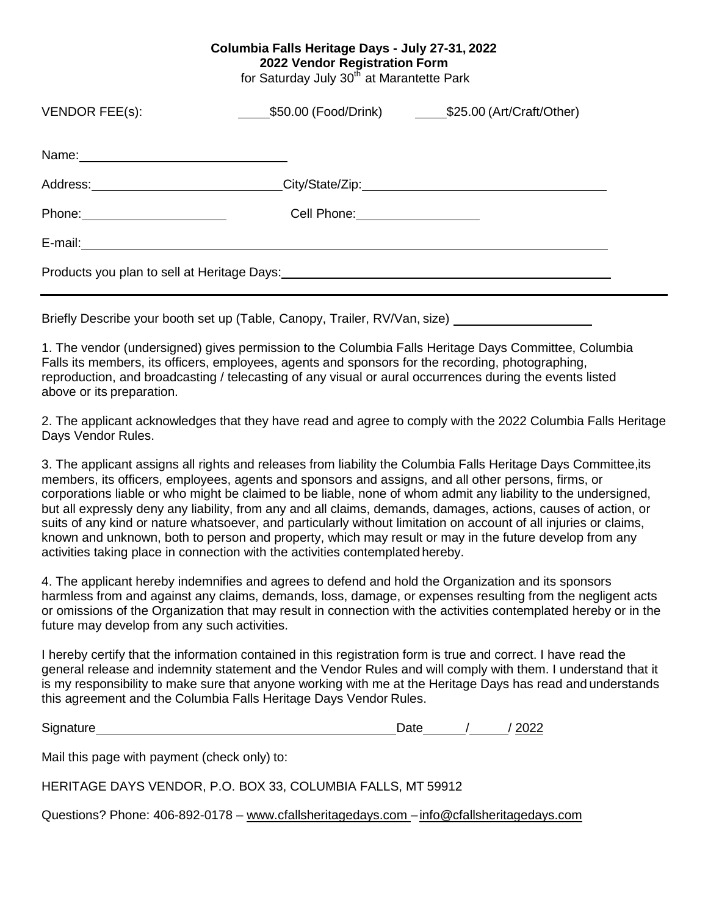## **Columbia Falls Heritage Days - July 27-31, 2022 2022 Vendor Registration Form**

for Saturday July  $30<sup>th</sup>$  at Marantette Park

| VENDOR FEE(s):                              |                                | ______\$50.00 (Food/Drink) ______________\$25.00 (Art/Craft/Other) |  |  |
|---------------------------------------------|--------------------------------|--------------------------------------------------------------------|--|--|
|                                             |                                |                                                                    |  |  |
|                                             |                                |                                                                    |  |  |
| Phone: ________________________             | Cell Phone: <u>Cell</u> Phone: |                                                                    |  |  |
|                                             |                                |                                                                    |  |  |
| Products you plan to sell at Heritage Days: |                                |                                                                    |  |  |

Briefly Describe your booth set up (Table, Canopy, Trailer, RV/Van, size)

1. The vendor (undersigned) gives permission to the Columbia Falls Heritage Days Committee, Columbia Falls its members, its officers, employees, agents and sponsors for the recording, photographing, reproduction, and broadcasting / telecasting of any visual or aural occurrences during the events listed above or its preparation.

2. The applicant acknowledges that they have read and agree to comply with the 2022 Columbia Falls Heritage Days Vendor Rules.

3. The applicant assigns all rights and releases from liability the Columbia Falls Heritage Days Committee, its members, its officers, employees, agents and sponsors and assigns, and all other persons, firms, or corporations liable or who might be claimed to be liable, none of whom admit any liability to the undersigned, but all expressly deny any liability, from any and all claims, demands, damages, actions, causes of action, or suits of any kind or nature whatsoever, and particularly without limitation on account of all injuries or claims, known and unknown, both to person and property, which may result or may in the future develop from any activities taking place in connection with the activities contemplated hereby.

4. The applicant hereby indemnifies and agrees to defend and hold the Organization and its sponsors harmless from and against any claims, demands, loss, damage, or expenses resulting from the negligent acts or omissions of the Organization that may result in connection with the activities contemplated hereby or in the future may develop from any such activities.

I hereby certify that the information contained in this registration form is true and correct. I have read the general release and indemnity statement and the Vendor Rules and will comply with them. I understand that it is my responsibility to make sure that anyone working with me at the Heritage Days has read and understands this agreement and the Columbia Falls Heritage Days Vendor Rules.

| Signature | )ate | 2022 |
|-----------|------|------|
|           |      |      |

Mail this page with payment (check only) to:

HERITAGE DAYS VENDOR, P.O. BOX 33, COLUMBIA FALLS, MT 59912

Questions? Phone: 406-892-0178 – [www.cfallsheritagedays.com –](http://www.cfallsheritagedays.com/)[info@cfallsheritagedays.com](mailto:info@cfallsheritagedays.com)